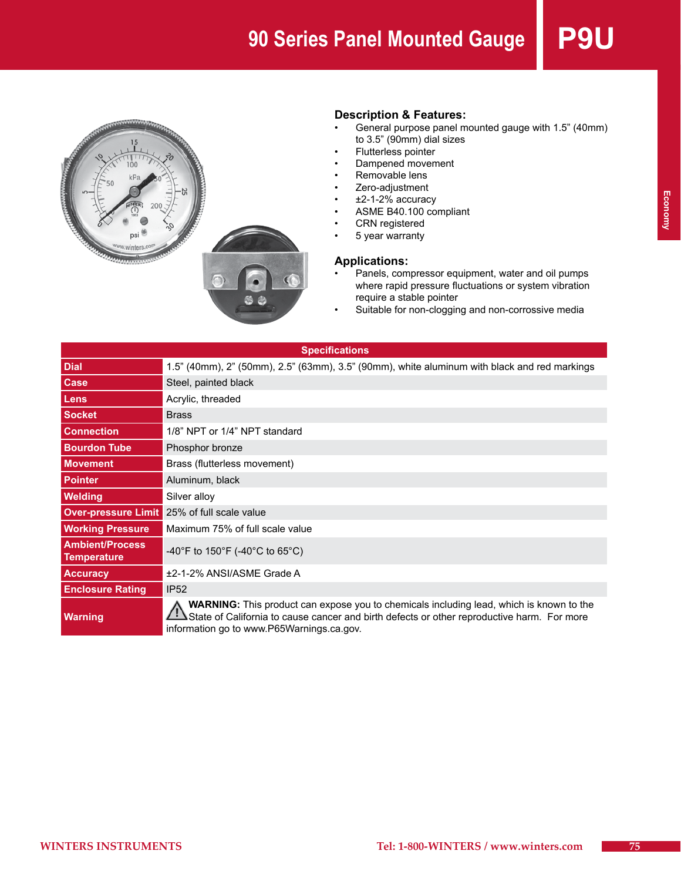

#### **Description & Features:**

- General purpose panel mounted gauge with 1.5" (40mm) to 3.5" (90mm) dial sizes
- Flutterless pointer
- Dampened movement
- Removable lens
- Zero-adjustment
- $±2-1-2%$  accuracy
- ASME B40.100 compliant
- • CRN registered
- 5 year warranty

#### **Applications:**

- Panels, compressor equipment, water and oil pumps where rapid pressure fluctuations or system vibration require a stable pointer
- Suitable for non-clogging and non-corrossive media

| <b>Specifications</b>                        |                                                                                                                                                                                                                                           |  |  |  |  |  |
|----------------------------------------------|-------------------------------------------------------------------------------------------------------------------------------------------------------------------------------------------------------------------------------------------|--|--|--|--|--|
| <b>Dial</b>                                  | 1.5" (40mm), 2" (50mm), 2.5" (63mm), 3.5" (90mm), white aluminum with black and red markings                                                                                                                                              |  |  |  |  |  |
| Case                                         | Steel, painted black                                                                                                                                                                                                                      |  |  |  |  |  |
| Lens                                         | Acrylic, threaded                                                                                                                                                                                                                         |  |  |  |  |  |
| <b>Socket</b>                                | <b>Brass</b>                                                                                                                                                                                                                              |  |  |  |  |  |
| <b>Connection</b>                            | 1/8" NPT or 1/4" NPT standard                                                                                                                                                                                                             |  |  |  |  |  |
| <b>Bourdon Tube</b>                          | Phosphor bronze                                                                                                                                                                                                                           |  |  |  |  |  |
| <b>Movement</b>                              | Brass (flutterless movement)                                                                                                                                                                                                              |  |  |  |  |  |
| <b>Pointer</b>                               | Aluminum, black                                                                                                                                                                                                                           |  |  |  |  |  |
| <b>Welding</b>                               | Silver alloy                                                                                                                                                                                                                              |  |  |  |  |  |
| <b>Over-pressure Limit</b>                   | 25% of full scale value                                                                                                                                                                                                                   |  |  |  |  |  |
| <b>Working Pressure</b>                      | Maximum 75% of full scale value                                                                                                                                                                                                           |  |  |  |  |  |
| <b>Ambient/Process</b><br><b>Temperature</b> | -40°F to 150°F (-40°C to 65°C)                                                                                                                                                                                                            |  |  |  |  |  |
| <b>Accuracy</b>                              | ±2-1-2% ANSI/ASME Grade A                                                                                                                                                                                                                 |  |  |  |  |  |
| <b>Enclosure Rating</b>                      | <b>IP52</b>                                                                                                                                                                                                                               |  |  |  |  |  |
| <b>Warning</b>                               | <b>WARNING:</b> This product can expose you to chemicals including lead, which is known to the<br>State of California to cause cancer and birth defects or other reproductive harm. For more<br>information go to www.P65Warnings.ca.gov. |  |  |  |  |  |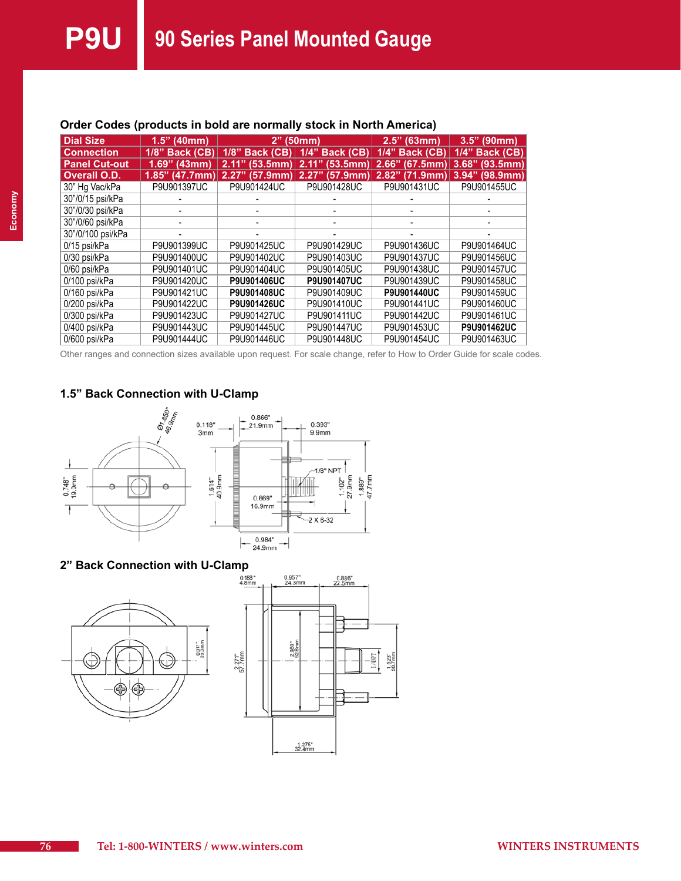| <b>Dial Size</b>     | $1.5"$ (40mm)  | $2"$ (50mm)        |                    | (63mm)<br>2.5"    | 3.5"<br>(90mm)    |
|----------------------|----------------|--------------------|--------------------|-------------------|-------------------|
| <b>Connection</b>    | 1/8" Back (CB) | $1/8$ " Back (CB)  | 1/4" Back (CB)     | 1/4" Back (CB)    | $1/4$ " Back (CB) |
| <b>Panel Cut-out</b> | $1.69"$ (43mm) | 2.11"<br>(53.5mm)  | 2.11"<br>(53.5mm)  | 2.66"<br>(67.5mm) | 3.68"<br>(93.5mm) |
| Overall O.D.         | 1.85" (47.7mm) | 2.27"<br>(57.9mm   | 2.27"<br>(57.9mm)  | 2.82"<br>(71.9mm) | $3.94"$ (98.9mm)  |
| 30" Hg Vac/kPa       | P9U901397UC    | P9U901424UC        | P9U901428UC        | P9U901431UC       | P9U901455UC       |
| 30"/0/15 psi/kPa     |                |                    |                    |                   |                   |
| 30"/0/30 psi/kPa     |                |                    |                    |                   |                   |
| 30"/0/60 psi/kPa     |                |                    |                    |                   |                   |
| 30"/0/100 psi/kPa    |                |                    |                    |                   |                   |
| 0/15 psi/kPa         | P9U901399UC    | P9U901425UC        | P9U901429UC        | P9U901436UC       | P9U901464UC       |
| 0/30 psi/kPa         | P9U901400UC    | P9U901402UC        | P9U901403UC        | P9U901437UC       | P9U901456UC       |
| 0/60 psi/kPa         | P9U901401UC    | P9U901404UC        | P9U901405UC        | P9U901438UC       | P9U901457UC       |
| 0/100 psi/kPa        | P9U901420UC    | <b>P9U901406UC</b> | <b>P9U901407UC</b> | P9U901439UC       | P9U901458UC       |
| 0/160 psi/kPa        | P9U901421UC    | <b>P9U901408UC</b> | P9U901409UC        | P9U901440UC       | P9U901459UC       |
| 0/200 psi/kPa        | P9U901422UC    | <b>P9U901426UC</b> | P9U901410UC        | P9U901441UC       | P9U901460UC       |
| 0/300 psi/kPa        | P9U901423UC    | P9U901427UC        | P9U901411UC        | P9U901442UC       | P9U901461UC       |
| 0/400 psi/kPa        | P9U901443UC    | P9U901445UC        | P9U901447UC        | P9U901453UC       | P9U901462UC       |
| 0/600 psi/kPa        | P9U901444UC    | P9U901446UC        | P9U901448UC        | P9U901454UC       | P9U901463UC       |

### **Order Codes (products in bold are normally stock in North America)**

Other ranges and connection sizes available upon request. For scale change, refer to How to Order Guide for scale codes.

# **1.5" Back Connection with U-Clamp**



#### **2" Back Connection with U-Clamp**